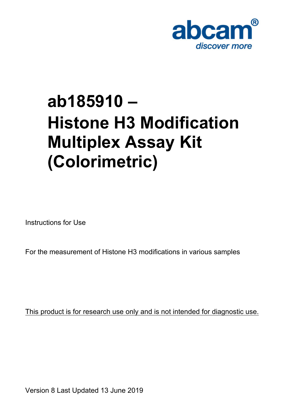

# **ab185910 – Histone H3 Modification Multiplex Assay Kit (Colorimetric)**

Instructions for Use

For the measurement of Histone H3 modifications in various samples

This product is for research use only and is not intended for diagnostic use.

Version 8 Last Updated 13 June 2019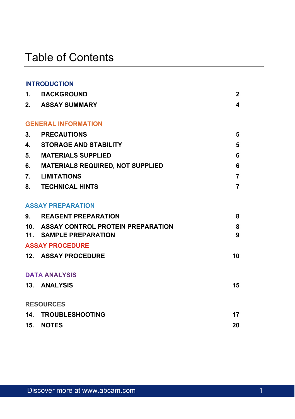# Table of Contents

|    | <b>INTRODUCTION</b>                                             |                |
|----|-----------------------------------------------------------------|----------------|
|    | 1. BACKGROUND                                                   | $\overline{c}$ |
|    | 2. ASSAY SUMMARY                                                | 4              |
|    | <b>GENERAL INFORMATION</b>                                      |                |
| 3. | <b>PRECAUTIONS</b>                                              | 5              |
|    | 4. STORAGE AND STABILITY                                        | 5              |
| 5. | MATERIALS SUPPLIED                                              | 6              |
| 6. | MATERIALS REQUIRED, NOT SUPPLIED                                | 6              |
| 7. | <b>LIMITATIONS</b>                                              | 7              |
|    | 8. TECHNICAL HINTS                                              | 7              |
|    | <b>ASSAY PREPARATION</b>                                        |                |
|    | 9. REAGENT PREPARATION                                          | 8              |
|    | 10. ASSAY CONTROL PROTEIN PREPARATION<br>11. SAMPLE PREPARATION | 8<br>9         |
|    | <b>ASSAY PROCEDURE</b>                                          |                |
|    | 12. ASSAY PROCEDURE                                             | 10             |
|    | <b>DATA ANALYSIS</b>                                            |                |
|    | 13. ANALYSIS                                                    | 15             |
|    | <b>RESOURCES</b>                                                |                |
|    | 14. TROUBLESHOOTING                                             | 17             |
|    | 15. NOTES                                                       | 20             |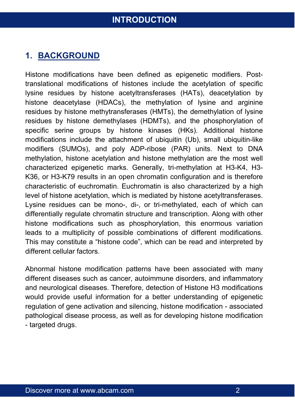### <span id="page-2-0"></span>**1. BACKGROUND**

Histone modifications have been defined as epigenetic modifiers. Posttranslational modifications of histones include the acetylation of specific lysine residues by histone acetyltransferases (HATs), deacetylation by histone deacetylase (HDACs), the methylation of lysine and arginine residues by histone methytransferases (HMTs), the demethylation of lysine residues by histone demethylases (HDMTs), and the phosphorylation of specific serine groups by histone kinases (HKs). Additional histone modifications include the attachment of ubiquitin (Ub), small ubiquitin-like modifiers (SUMOs), and poly ADP-ribose (PAR) units. Next to DNA methylation, histone acetylation and histone methylation are the most well characterized epigenetic marks. Generally, tri-methylation at H3-K4, H3- K36, or H3-K79 results in an open chromatin configuration and is therefore characteristic of euchromatin. Euchromatin is also characterized by a high level of histone acetylation, which is mediated by histone acetyltransferases. Lysine residues can be mono-, di-, or tri-methylated, each of which can differentially regulate chromatin structure and transcription. Along with other histone modifications such as phosphorylation, this enormous variation leads to a multiplicity of possible combinations of different modifications. This may constitute a "histone code", which can be read and interpreted by different cellular factors.

Abnormal histone modification patterns have been associated with many different diseases such as cancer, autoimmune disorders, and inflammatory and neurological diseases. Therefore, detection of Histone H3 modifications would provide useful information for a better understanding of epigenetic regulation of gene activation and silencing, histone modification - associated pathological disease process, as well as for developing histone modification - targeted drugs.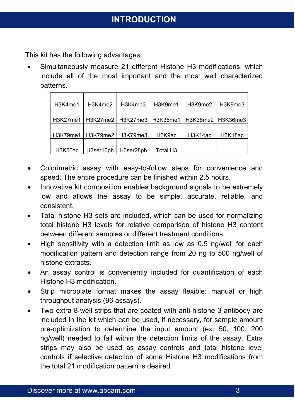This kit has the following advantages.

 Simultaneously measure 21 different Histone H3 modifications, which include all of the most important and the most well characterized patterns.

| H3K4me1 | H3K4me2                                                         | H3K4me3   | H3K9me1              | H3K9me2 | H3K9me3 |
|---------|-----------------------------------------------------------------|-----------|----------------------|---------|---------|
|         |                                                                 |           |                      |         |         |
|         | H3K27me1   H3K27me2   H3K27me3   H3K36me1   H3K36me2   H3K36me3 |           |                      |         |         |
|         |                                                                 |           |                      |         |         |
|         | H3K79me1   H3K79me2   H3K79me3                                  |           | H3K9ac               | H3K14ac | H3K18ac |
|         |                                                                 |           |                      |         |         |
| H3K56ac | H3ser10ph                                                       | H3ser28ph | Total H <sub>3</sub> |         |         |

- Colorimetric assay with easy-to-follow steps for convenience and speed. The entire procedure can be finished within 2.5 hours.
- Innovative kit composition enables background signals to be extremely low and allows the assay to be simple, accurate, reliable, and consistent.
- Total histone H3 sets are included, which can be used for normalizing total histone H3 levels for relative comparison of histone H3 content between different samples or different treatment conditions.
- $\bullet$  High sensitivity with a detection limit as low as 0.5 ng/well for each modification pattern and detection range from 20 ng to 500 ng/well of histone extracts.
- An assay control is conveniently included for quantification of each Histone H3 modification.
- Strip microplate format makes the assay flexible: manual or high throughput analysis (96 assays).
- Two extra 8-well strips that are coated with anti-histone 3 antibody are included in the kit which can be used, if necessary, for sample amount pre-optimization to determine the input amount (ex: 50, 100, 200 ng/well) needed to fall within the detection limits of the assay. Extra strips may also be used as assay controls and total histone level controls if selective detection of some Histone H3 modifications from the total 21 modification pattern is desired.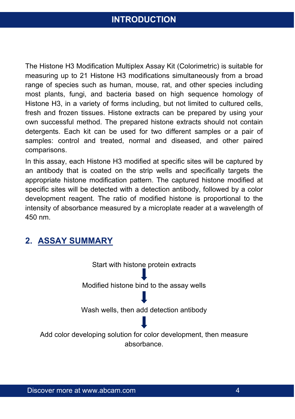The Histone H3 Modification Multiplex Assay Kit (Colorimetric) is suitable for measuring up to 21 Histone H3 modifications simultaneously from a broad range of species such as human, mouse, rat, and other species including most plants, fungi, and bacteria based on high sequence homology of Histone H3, in a variety of forms including, but not limited to cultured cells, fresh and frozen tissues. Histone extracts can be prepared by using your own successful method. The prepared histone extracts should not contain detergents. Each kit can be used for two different samples or a pair of samples: control and treated, normal and diseased, and other paired comparisons.

In this assay, each Histone H3 modified at specific sites will be captured by an antibody that is coated on the strip wells and specifically targets the appropriate histone modification pattern. The captured histone modified at specific sites will be detected with a detection antibody, followed by a color development reagent. The ratio of modified histone is proportional to the intensity of absorbance measured by a microplate reader at a wavelength of 450 nm.

### <span id="page-4-0"></span>**2. ASSAY SUMMARY**

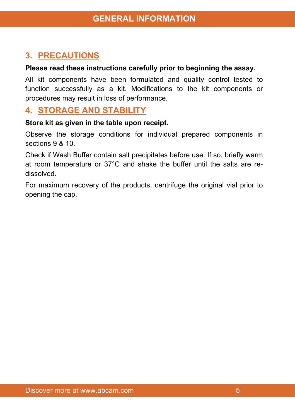# <span id="page-5-0"></span>**3. PRECAUTIONS**

#### **Please read these instructions carefully prior to beginning the assay.**

All kit components have been formulated and quality control tested to function successfully as a kit. Modifications to the kit components or procedures may result in loss of performance.

#### <span id="page-5-1"></span>**4. STORAGE AND STABILITY**

#### **Store kit as given in the table upon receipt.**

Observe the storage conditions for individual prepared components in sections 9 & 10.

Check if Wash Buffer contain salt precipitates before use. If so, briefly warm at room temperature or 37°C and shake the buffer until the salts are redissolved.

For maximum recovery of the products, centrifuge the original vial prior to opening the cap.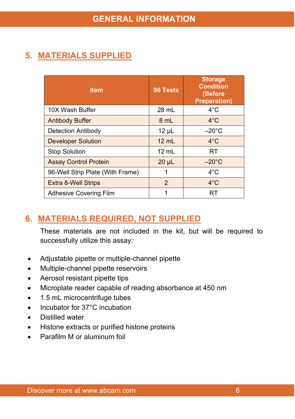# <span id="page-6-1"></span><span id="page-6-0"></span>**5. MATERIALS SUPPLIED**

| <b>Item</b>                      | 96 Tests        | <b>Storage</b><br><b>Condition</b><br>(Before<br><b>Preparation)</b> |
|----------------------------------|-----------------|----------------------------------------------------------------------|
| 10X Wash Buffer                  | 28 mL           | $4^{\circ}$ C                                                        |
| <b>Antibody Buffer</b>           | 8 mL            | $4^{\circ}$ C                                                        |
| Detection Antibody               | $12 \mu L$      | $-20^{\circ}$ C                                                      |
| <b>Developer Solution</b>        | $12 \text{ ml}$ | $4^{\circ}$ C                                                        |
| <b>Stop Solution</b>             | $12 \text{ mL}$ | <b>RT</b>                                                            |
| <b>Assay Control Protein</b>     | $20 \mu L$      | $-20^{\circ}$ C                                                      |
| 96-Well Strip Plate (With Frame) | 1               | $4^{\circ}$ C                                                        |
| <b>Extra 8-Well Strips</b>       | $\overline{2}$  | $4^{\circ}$ C                                                        |
| Adhesive Covering Film           | 1               | <b>RT</b>                                                            |

# **6. MATERIALS REQUIRED, NOT SUPPLIED**

These materials are not included in the kit, but will be required to successfully utilize this assay:

- Adjustable pipette or multiple-channel pipette
- Multiple-channel pipette reservoirs
- Aerosol resistant pipette tips
- Microplate reader capable of reading absorbance at 450 nm
- 1.5 mL microcentrifuge tubes
- Incubator for 37°C incubation
- Distilled water
- Histone extracts or purified histone proteins
- <span id="page-6-2"></span>Parafilm M or aluminum foil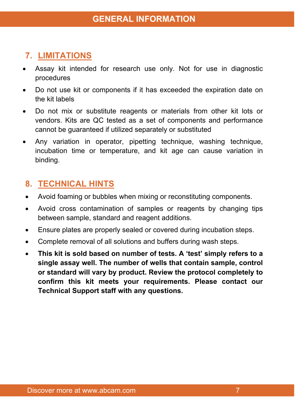# **7. LIMITATIONS**

- Assay kit intended for research use only. Not for use in diagnostic procedures
- Do not use kit or components if it has exceeded the expiration date on the kit labels
- Do not mix or substitute reagents or materials from other kit lots or vendors. Kits are QC tested as a set of components and performance cannot be guaranteed if utilized separately or substituted
- Any variation in operator, pipetting technique, washing technique, incubation time or temperature, and kit age can cause variation in binding.

### <span id="page-7-0"></span>**8. TECHNICAL HINTS**

- Avoid foaming or bubbles when mixing or reconstituting components.
- Avoid cross contamination of samples or reagents by changing tips between sample, standard and reagent additions.
- Ensure plates are properly sealed or covered during incubation steps.
- Complete removal of all solutions and buffers during wash steps.
- **This kit is sold based on number of tests. A 'test' simply refers to a single assay well. The number of wells that contain sample, control or standard will vary by product. Review the protocol completely to confirm this kit meets your requirements. Please contact our Technical Support staff with any questions.**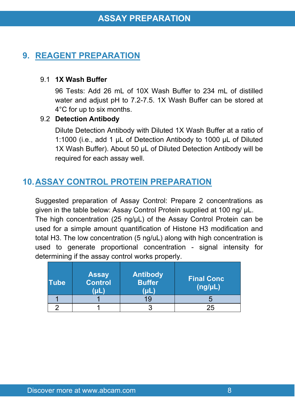### <span id="page-8-0"></span>**9. REAGENT PREPARATION**

#### 9.1 **1X Wash Buffer**

96 Tests: Add 26 mL of 10X Wash Buffer to 234 mL of distilled water and adjust pH to 7.2-7.5. 1X Wash Buffer can be stored at 4°C for up to six months.

#### 9.2 **Detection Antibody**

Dilute Detection Antibody with Diluted 1X Wash Buffer at a ratio of 1:1000 (i.e., add 1 µL of Detection Antibody to 1000 µL of Diluted 1X Wash Buffer). About 50 µL of Diluted Detection Antibody will be required for each assay well.

# **10.ASSAY CONTROL PROTEIN PREPARATION**

Suggested preparation of Assay Control: Prepare 2 concentrations as given in the table below: Assay Control Protein supplied at 100 ng/ μL. The high concentration (25 ng/μL) of the Assay Control Protein can be used for a simple amount quantification of Histone H3 modification and total H3. The low concentration (5 ng/uL) along with high concentration is used to generate proportional concentration - signal intensity for determining if the assay control works properly.

| <b>Tube</b> | <b>Assay</b><br>Control<br>ωl | Antibody<br><b>Buffer</b><br>(uL | <b>Final Conc</b><br>(ng/µL) |
|-------------|-------------------------------|----------------------------------|------------------------------|
|             |                               | 19                               |                              |
|             |                               |                                  | 25                           |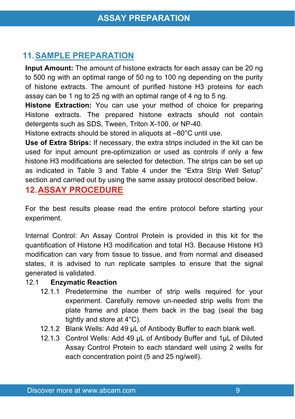### **11.SAMPLE PREPARATION**

**Input Amount:** The amount of histone extracts for each assay can be 20 ng to 500 ng with an optimal range of 50 ng to 100 ng depending on the purity of histone extracts. The amount of purified histone H3 proteins for each assay can be 1 ng to 25 ng with an optimal range of 4 ng to 5 ng.

**Histone Extraction:** You can use your method of choice for preparing Histone extracts. The prepared histone extracts should not contain detergents such as SDS, Tween, Triton X-100, or NP-40.

Histone extracts should be stored in aliquots at –80°C until use.

**Use of Extra Strips:** If necessary, the extra strips included in the kit can be used for input amount pre-optimization or used as controls if only a few histone H3 modifications are selected for detection. The strips can be set up as indicated in Table 3 and Table 4 under the "Extra Strip Well Setup" section and carried out by using the same assay protocol described below.

#### <span id="page-9-0"></span>**12.ASSAY PROCEDURE**

For the best results please read the entire protocol before starting your experiment.

Internal Control: An Assay Control Protein is provided in this kit for the quantification of Histone H3 modification and total H3. Because Histone H3 modification can vary from tissue to tissue, and from normal and diseased states, it is advised to run replicate samples to ensure that the signal generated is validated.

#### 12.1 **Enzymatic Reaction**

- 12.1.1 Predetermine the number of strip wells required for your experiment. Carefully remove un-needed strip wells from the plate frame and place them back in the bag (seal the bag tightly and store at 4°C).
- 12.1.2 Blank Wells: Add 49 µL of Antibody Buffer to each blank well.
- 12.1.3 Control Wells: Add 49 µL of Antibody Buffer and 1µL of Diluted Assay Control Protein to each standard well using 2 wells for each concentration point (5 and 25 ng/well).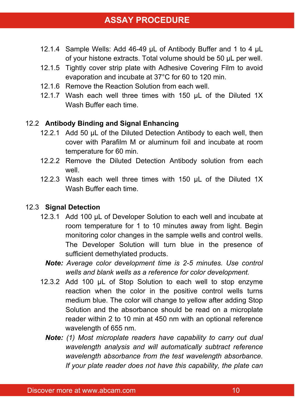- 12.1.4 Sample Wells: Add 46-49 µL of Antibody Buffer and 1 to 4 µL of your histone extracts. Total volume should be 50 µL per well.
- 12.1.5 Tightly cover strip plate with Adhesive Covering Film to avoid evaporation and incubate at 37°C for 60 to 120 min.
- 12.1.6 Remove the Reaction Solution from each well.
- 12.1.7 Wash each well three times with 150 µL of the Diluted 1X Wash Buffer each time.

#### 12.2 **Antibody Binding and Signal Enhancing**

- 12.2.1 Add 50 µL of the Diluted Detection Antibody to each well, then cover with Parafilm M or aluminum foil and incubate at room temperature for 60 min.
- 12.2.2 Remove the Diluted Detection Antibody solution from each well.
- 12.2.3 Wash each well three times with 150 µL of the Diluted 1X Wash Buffer each time.

#### 12.3 **Signal Detection**

- 12.3.1 Add 100 µL of Developer Solution to each well and incubate at room temperature for 1 to 10 minutes away from light. Begin monitoring color changes in the sample wells and control wells. The Developer Solution will turn blue in the presence of sufficient demethylated products.
	- *Note: Average color development time is 2-5 minutes. Use control wells and blank wells as a reference for color development.*
- 12.3.2 Add 100 µL of Stop Solution to each well to stop enzyme reaction when the color in the positive control wells turns medium blue. The color will change to yellow after adding Stop Solution and the absorbance should be read on a microplate reader within 2 to 10 min at 450 nm with an optional reference wavelength of 655 nm.
	- *Note: (1) Most microplate readers have capability to carry out dual wavelength analysis and will automatically subtract reference wavelength absorbance from the test wavelength absorbance. If your plate reader does not have this capability, the plate can*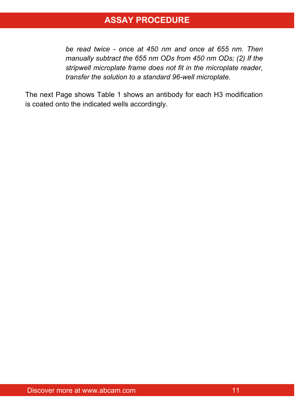### **ASSAY PROCEDURE**

*be read twice - once at 450 nm and once at 655 nm. Then manually subtract the 655 nm ODs from 450 nm ODs; (2) If the stripwell microplate frame does not fit in the microplate reader, transfer the solution to a standard 96-well microplate.*

The next Page shows Table 1 shows an antibody for each H3 modification is coated onto the indicated wells accordingly.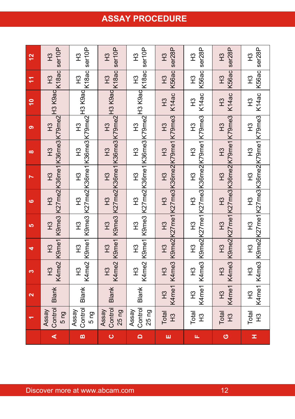#### **12**  $T<sup>3</sup>$ ser10P  $\tilde{E}$ ser10P  $T<sup>3</sup>$ ser10P  $\tilde{r}$ ser10P  $\frac{3}{2}$ ser28P  $\frac{3}{2}$ ser28P  $T<sup>3</sup>$ ser28P  $\frac{1}{2}$ ser28P **11**  $\tilde{H}$ K18ac  $\frac{1}{2}$ K18ac  $\frac{3}{2}$ K18ac  $\tilde{H}$ K18ac H3 K56ac H3 K56ac  $\tilde{H}$ K56ac ዝ<br>አ K56ac **10** H3 K9ac H3 K9ac H3 K9ac H3 K9ac  $\tilde{H}$ K14ac  $\tilde{H}$ K14ac  $\tilde{H}$ K14ac  $\tilde{H}$ K14ac **9** $\tilde{E}$ K79me2  $\tilde{H}$ K79me2  $\tilde{H}$ K79me2  $\tilde{H}$ K79me2  $\tilde{H}$ K79me3  $\tilde{H}$ K79me3  $\tilde{H}$ K79me3  $\frac{1}{2}$ K79me3 **8** $\tilde{H}$ K36me3  $\tilde{H}$ K36me3  $\tilde{H}$ K36me3 H3 K36me3  $\tilde{H}$ K79me1  $\tilde{H}$ K79me1  $\tilde{H}$ K79me1 .<br>ደ K79me1 **7** $T<sup>2</sup>$ K36me1  $\frac{3}{2}$ K36me1 H3 K36me1 H3 K36me1 H3 K36me2 H3 K36me2 H3 K36me2 ዝ<br>ተ K36me2 **6** $T<sup>3</sup>$ K27me2  $\tilde{H}$ K27me2  $T<sub>2</sub>$ K27me2 H3 K27me2  $\tilde{H}$ K27me3  $\tilde{H}$ K27me3  $T<sup>3</sup>$ K27me3  $\frac{3}{2}$ K27me3 **5**H3 K9me3  $\tilde{H}$ K9me3 H3 K9me3  $\tilde{H}$ K9me3  $\tilde{H}$ K27me1  $\tilde{H}$ K27me1  $\tilde{H}$ K27me1 H3 K27me1 **4** $\tilde{H}$ K9me1  $\tilde{H}$ K9me1 H3 K9me1  $\tilde{H}$ K9me1 H3 K9me2  $\tilde{H}$ K9me2  $\tilde{H}$ K9me2 H3 K9me2 **3**H3 K4me2  $\tilde{H}$ K4me2 H3 K4me2  $\tilde{H}$ K4me2 H3 K4me3  $\tilde{H}$ K4me3  $\tilde{H}$ K4me3 H3 K4me3  $\alpha$ **Blank** Blank **Blank Blank** H3 K4me1 H3 K4me1 H3 K4me1 H3 K4me1 **1**Assay Control 5 ng Assay **Control** 5 ng Assay Control 25 ng Assay Control 25 ng Total  $\tilde{H}$ Total H3 Total  $\tilde{H}$ Total H3 **A BCDEFGH**

# **ASSAY PROCEDURE**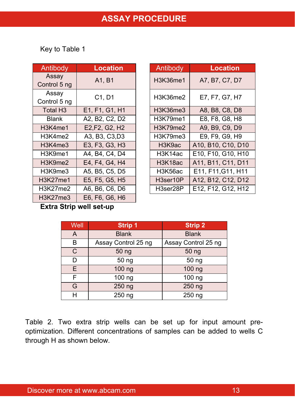Key to Table 1

| Antibody              | <b>Location</b> | Antibody | <b>Location</b>  |
|-----------------------|-----------------|----------|------------------|
| Assay<br>Control 5 ng | A1, B1          | H3K36me1 | A7, B7, C7, D7   |
| Assay<br>Control 5 ng | C1, D1          | H3K36me2 | E7, F7, G7, H7   |
| Total H <sub>3</sub>  | E1, F1, G1, H1  | H3K36me3 | A8, B8, C8, D8   |
| <b>Blank</b>          | A2, B2, C2, D2  | H3K79me1 | E8, F8, G8, H8   |
| H3K4me1               | E2, F2, G2, H2  | H3K79me2 | A9, B9, C9, D9   |
| H3K4me2               | A3, B3, C3, D3  | H3K79me3 | E9, F9, G9, H9   |
| H3K4me3               | E3, F3, G3, H3  | H3K9ac   | A10, B10, C10, D |
| H3K9me1               | A4. B4. C4. D4  | H3K14ac  | E10, F10, G10, H |
| H3K9me2               | E4, F4, G4, H4  | H3K18ac  | A11, B11, C11, D |
| H3K9me3               | A5, B5, C5, D5  | H3K56ac  | E11, F11, G11, H |
| H3K27me1              | E5, F5, G5, H5  | H3ser10P | A12, B12, C12, D |
| H3K27me2              | A6, B6, C6, D6  | H3ser28P | E12, F12, G12, H |
| H3K27me3              | E6, F6, G6, H6  |          |                  |

| Antibody                                      | <b>Location</b> | Antibody | <b>Location</b>    |
|-----------------------------------------------|-----------------|----------|--------------------|
| Assay<br>Control 5 ng                         | A1, B1          | H3K36me1 | A7, B7, C7, D7     |
| Assay<br>Control 5 ng                         | C1, D1          | H3K36me2 | E7, F7, G7, H7     |
| Total H <sub>3</sub>                          | E1, F1, G1, H1  | H3K36me3 | A8, B8, C8, D8     |
| <b>Blank</b>                                  | A2, B2, C2, D2  | H3K79me1 | E8, F8, G8, H8     |
| H3K4me1                                       | E2, F2, G2, H2  | H3K79me2 | A9, B9, C9, D9     |
| H3K4me2                                       | A3, B3, C3, D3  | H3K79me3 | E9, F9, G9, H9     |
| H <sub>3</sub> K <sub>4</sub> me <sub>3</sub> | E3, F3, G3, H3  | H3K9ac   | A10, B10, C10, D10 |
| H3K9me1                                       | A4, B4, C4, D4  | H3K14ac  | E10, F10, G10, H10 |
| H3K9me2                                       | E4, F4, G4, H4  | H3K18ac  | A11, B11, C11, D11 |
| H3K9me3                                       | A5, B5, C5, D5  | H3K56ac  | E11, F11, G11, H11 |
| H3K27me1                                      | E5, F5, G5, H5  | H3ser10P | A12, B12, C12, D12 |
| H3K27me2                                      | A6, B6, C6, D6  | H3ser28P | E12, F12, G12, H12 |

**Extra Strip well set-up**

| Well         | <b>Strip 1</b>      | <b>Strip 2</b>      |
|--------------|---------------------|---------------------|
| A            | <b>Blank</b>        | <b>Blank</b>        |
| B            | Assay Control 25 ng | Assay Control 25 ng |
| $\mathsf{C}$ | 50 ng               | 50 ng               |
| D            | 50 ng               | 50 ng               |
| E.           | 100 ng              | 100 ng              |
| F            | $\overline{100}$ ng | $\overline{100}$ ng |
| G            | 250 ng              | 250 ng              |
| Н            | 250 ng              | 250 ng              |

Table 2. Two extra strip wells can be set up for input amount preoptimization. Different concentrations of samples can be added to wells C through H as shown below.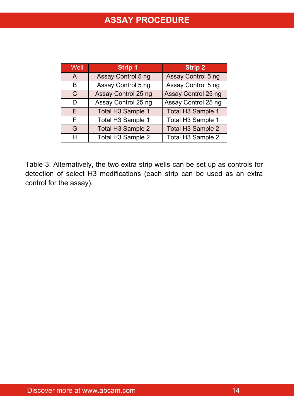| Well | <b>Strip 1</b>      | <b>Strip 2</b>      |
|------|---------------------|---------------------|
| A    | Assay Control 5 ng  | Assay Control 5 ng  |
| в    | Assay Control 5 ng  | Assay Control 5 ng  |
| C    | Assay Control 25 ng | Assay Control 25 ng |
| D    | Assay Control 25 ng | Assay Control 25 ng |
| F    | Total H3 Sample 1   | Total H3 Sample 1   |
| F    | Total H3 Sample 1   | Total H3 Sample 1   |
| G    | Total H3 Sample 2   | Total H3 Sample 2   |
| н    | Total H3 Sample 2   | Total H3 Sample 2   |

Table 3. Alternatively, the two extra strip wells can be set up as controls for detection of select H3 modifications (each strip can be used as an extra control for the assay).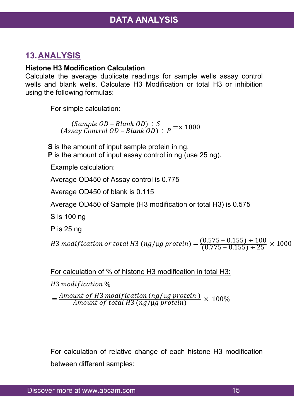### **13.ANALYSIS**

#### **Histone H3 Modification Calculation**

Calculate the average duplicate readings for sample wells assay control wells and blank wells. Calculate H3 Modification or total H3 or inhibition using the following formulas:

For simple calculation:

 $(Sample\ OD - Blank\ OD) \div S$ <br>(Assay Control OD – Blank OD)  $\div P$  = $\times$  1000

**S** is the amount of input sample protein in ng. **P** is the amount of input assay control in ng (use 25 ng).

Example calculation:

Average OD450 of Assay control is 0.775

Average OD450 of blank is 0.115

Average OD450 of Sample (H3 modification or total H3) is 0.575

S is 100 ng

P is 25 ng

H3 modification or total H3 (ng/µg protein) =  $\frac{(0.575-0.155) \div 100}{(0.775-0.155) \div 25}$   $\times$  1000

For calculation of % of histone H3 modification in total H3:

H<sub>3</sub> modification %

 $=\frac{Amount of H3\, modification\, (ng/\mu g\, protein)}{Amount\, of\ total\, H3\, (ng/\mu g\, protein)}\times\,100\%$ 

For calculation of relative change of each histone H3 modification between different samples: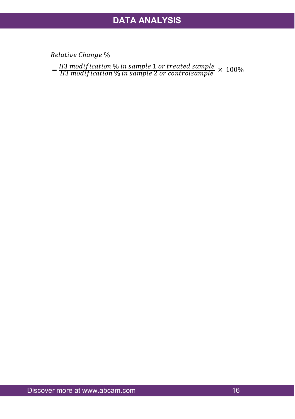Relative Change %

= H3 modification % in sample 1 or treated sample  $\times$  100%<br>H3 modification % in sample 2 or controlsample  $\times$  100%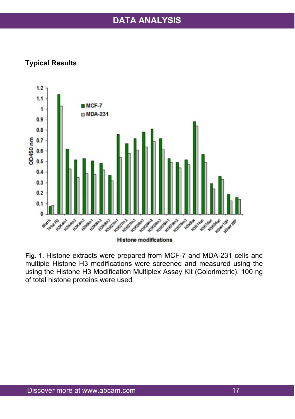### **DATA ANALYSIS**

#### **Typical Results**



**Fig. 1.** Histone extracts were prepared from MCF-7 and MDA-231 cells and multiple Histone H3 modifications were screened and measured using the using the Histone H3 Modification Multiplex Assay Kit (Colorimetric). 100 ng of total histone proteins were used.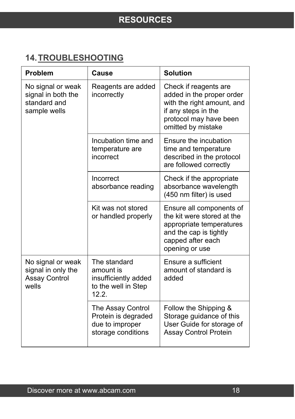# <span id="page-18-0"></span>**14.TROUBLESHOOTING**

| <b>Problem</b>                                                           | Cause                                                                             | <b>Solution</b>                                                                                                                                         |
|--------------------------------------------------------------------------|-----------------------------------------------------------------------------------|---------------------------------------------------------------------------------------------------------------------------------------------------------|
| No signal or weak<br>signal in both the<br>standard and<br>sample wells  | Reagents are added<br>incorrectly                                                 | Check if reagents are<br>added in the proper order<br>with the right amount, and<br>if any steps in the<br>protocol may have been<br>omitted by mistake |
|                                                                          | Incubation time and<br>temperature are<br>incorrect                               | Ensure the incubation<br>time and temperature<br>described in the protocol<br>are followed correctly                                                    |
|                                                                          | Incorrect<br>absorbance reading                                                   | Check if the appropriate<br>absorbance wavelength<br>(450 nm filter) is used                                                                            |
|                                                                          | Kit was not stored<br>or handled properly                                         | Ensure all components of<br>the kit were stored at the<br>appropriate temperatures<br>and the cap is tightly<br>capped after each<br>opening or use     |
| No signal or weak<br>signal in only the<br><b>Assay Control</b><br>wells | The standard<br>amount is<br>insufficiently added<br>to the well in Step<br>12.2. | Ensure a sufficient<br>amount of standard is<br>added                                                                                                   |
|                                                                          | The Assay Control<br>Protein is degraded<br>due to improper<br>storage conditions | Follow the Shipping &<br>Storage guidance of this<br>User Guide for storage of<br><b>Assay Control Protein</b>                                          |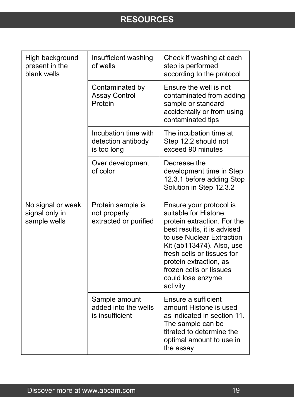| High background<br>present in the<br>blank wells    | Insufficient washing<br>of wells                           | Check if washing at each<br>step is performed<br>according to the protocol                                                                                                                                                                                                                  |
|-----------------------------------------------------|------------------------------------------------------------|---------------------------------------------------------------------------------------------------------------------------------------------------------------------------------------------------------------------------------------------------------------------------------------------|
|                                                     | Contaminated by<br><b>Assay Control</b><br>Protein         | Ensure the well is not<br>contaminated from adding<br>sample or standard<br>accidentally or from using<br>contaminated tips                                                                                                                                                                 |
|                                                     | Incubation time with<br>detection antibody<br>is too long  | The incubation time at<br>Step 12.2 should not<br>exceed 90 minutes                                                                                                                                                                                                                         |
|                                                     | Over development<br>of color                               | Decrease the<br>development time in Step<br>12.3.1 before adding Stop<br>Solution in Step 12.3.2                                                                                                                                                                                            |
| No signal or weak<br>signal only in<br>sample wells | Protein sample is<br>not properly<br>extracted or purified | Ensure your protocol is<br>suitable for Histone<br>protein extraction. For the<br>best results, it is advised<br>to use Nuclear Extraction<br>Kit (ab113474). Also, use<br>fresh cells or tissues for<br>protein extraction, as<br>frozen cells or tissues<br>could lose enzyme<br>activity |
|                                                     | Sample amount<br>added into the wells<br>is insufficient   | Ensure a sufficient<br>amount Histone is used<br>as indicated in section 11.<br>The sample can be<br>titrated to determine the<br>optimal amount to use in<br>the assay                                                                                                                     |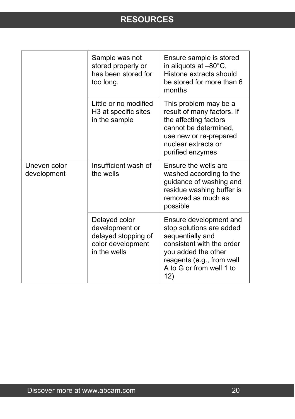|                             | Sample was not<br>stored properly or<br>has been stored for<br>too long.                    | Ensure sample is stored<br>in aliquots at -80°C,<br>Histone extracts should<br>be stored for more than 6<br>months                                                                         |
|-----------------------------|---------------------------------------------------------------------------------------------|--------------------------------------------------------------------------------------------------------------------------------------------------------------------------------------------|
|                             | Little or no modified<br>H3 at specific sites<br>in the sample                              | This problem may be a<br>result of many factors. If<br>the affecting factors<br>cannot be determined,<br>use new or re-prepared<br>nuclear extracts or<br>purified enzymes                 |
| Uneven color<br>development | Insufficient wash of<br>the wells                                                           | Ensure the wells are<br>washed according to the<br>guidance of washing and<br>residue washing buffer is<br>removed as much as<br>possible                                                  |
|                             | Delayed color<br>development or<br>delayed stopping of<br>color development<br>in the wells | Ensure development and<br>stop solutions are added<br>sequentially and<br>consistent with the order<br>you added the other<br>reagents (e.g., from well<br>A to G or from well 1 to<br>12) |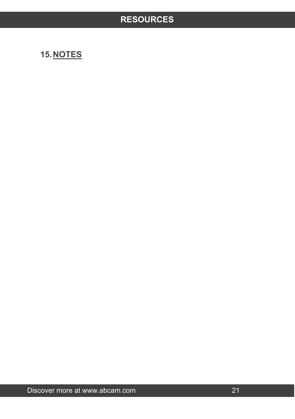# <span id="page-21-0"></span>**15.NOTES**

Discover more at www.abcam.com 21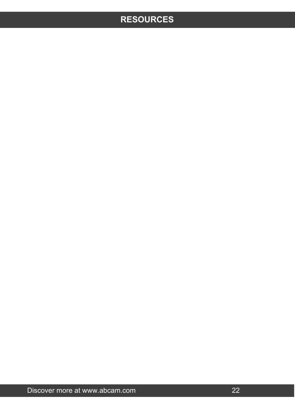Discover more at www.abcam.com 22